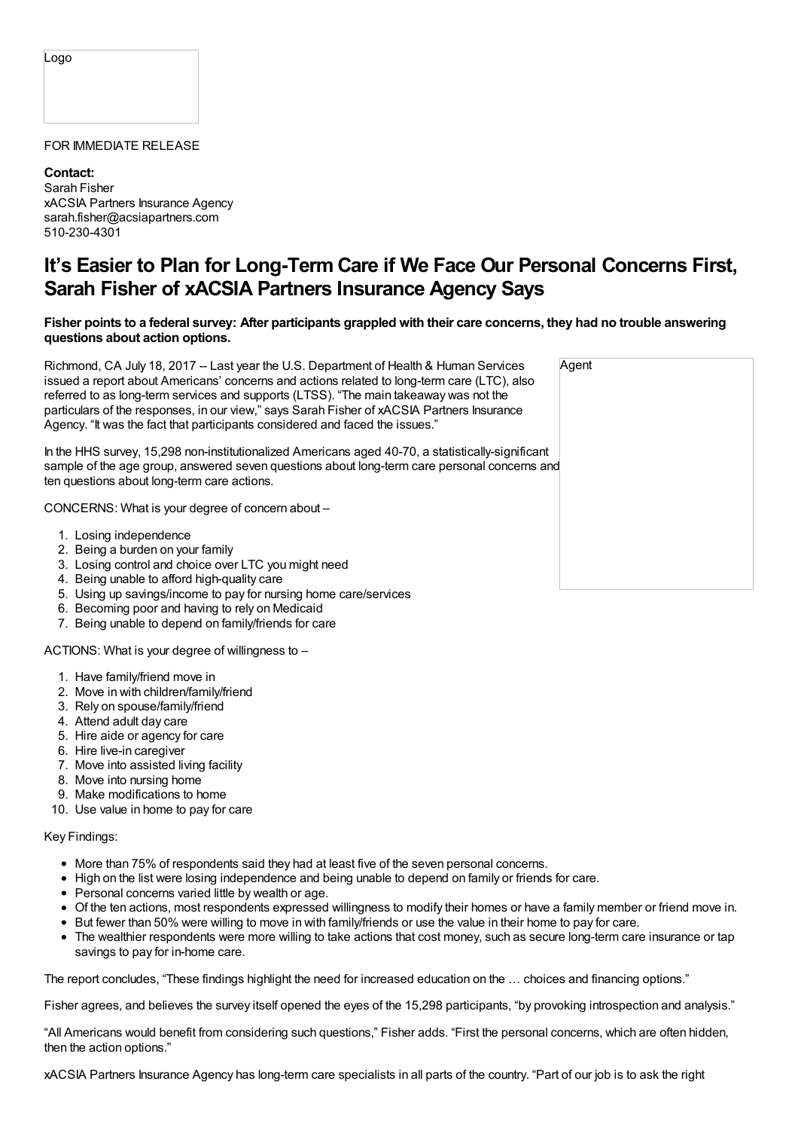#### Logo

### FOR IMMEDIATE RELEASE

**Contact:** Sarah Fisher xACSIA Partners Insurance Agency sarah.fisher@acsiapartners.com 510-230-4301

# **It's Easier to Plan for Long-Term Care if We Face Our Personal Concerns First, Sarah Fisher of xACSIA Partners Insurance Agency Says**

## Fisher points to a federal survey: After participants grappled with their care concerns, they had no trouble answering **questions about action options.**

Richmond, CA July 18, 2017 -- Last year the U.S. Department of Health & Human Services issued a report about Americans' concerns and actions related to long-term care (LTC), also referred to as long-term services and supports (LTSS). "The main takeaway was not the particulars of the responses, in our view," says Sarah Fisher of xACSIA Partners Insurance Agency. "It was the fact that participants considered and faced the issues."

In the HHS survey, 15,298 non-institutionalized Americans aged 40-70, a statistically-significant sample of the age group, answered seven questions about long-term care personal concerns and ten questions about long-term care actions.

CONCERNS: What is your degree of concern about –

- 1. Losing independence
- 2. Being a burden on your family
- 3. Losing control and choice over LTC you might need
- 4. Being unable to afford high-quality care
- 5. Using up savings/income to pay for nursing home care/services
- 6. Becoming poor and having to rely on Medicaid
- 7. Being unable to depend on family/friends for care

ACTIONS: What is your degree of willingness to –

- 1. Have family/friend move in
- 2. Move in with children/family/friend
- 3. Rely on spouse/family/friend
- 4. Attend adult day care
- 5. Hire aide or agency for care
- 6. Hire live-in caregiver
- 7. Move into assisted living facility
- 8. Move into nursing home
- 9. Make modifications to home
- 10. Use value in home to pay for care

### Key Findings:

- More than 75% of respondents said they had at least five of the seven personal concerns.
- High on the list were losing independence and being unable to depend on family or friends for care.
- Personal concerns varied little by wealth or age.
- Of the ten actions, most respondents expressed willingness to modify their homes or have a family member or friend move in.
- But fewer than 50% were willing to move in with family/friends or use the value in their home to pay for care.
- The wealthier respondents were more willing to take actions that cost money, such as secure long-term care insurance or tap savings to pay for in-home care.

The report concludes, "These findings highlight the need for increased education on the … choices and financing options."

Fisher agrees, and believes the survey itself opened the eyes of the 15,298 participants, "by provoking introspection and analysis."

"All Americans would benefit from considering such questions," Fisher adds. "First the personal concerns, which are often hidden, then the action options."

xACSIA Partners Insurance Agency has long-term care specialists in all parts of the country. "Part of our job is to ask the right

|           | Agent |  |
|-----------|-------|--|
|           |       |  |
| 1t<br>and |       |  |
|           |       |  |
|           |       |  |
|           |       |  |